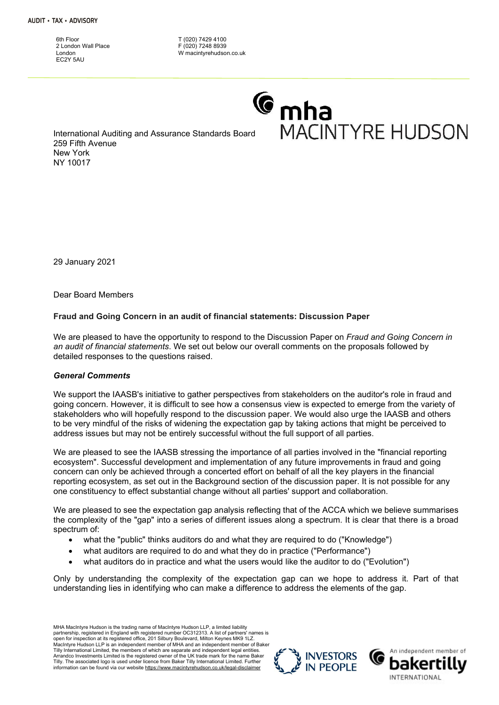6th Floor 2 London Wall Place London EC<sub>2</sub>Y 5AU

T (020) 7429 4100 F (020) 7248 8939 W macintyrehudson.co.uk

# **C**<sub>mha</sub> **MACINTYRE HUDSON**

International Auditing and Assurance Standards Board 259 Fifth Avenue New York NY 10017

29 January 2021

Dear Board Members

# Fraud and Going Concern in an audit of financial statements: Discussion Paper

We are pleased to have the opportunity to respond to the Discussion Paper on Fraud and Going Concern in an audit of financial statements. We set out below our overall comments on the proposals followed by detailed responses to the questions raised.

#### General Comments

We support the IAASB's initiative to gather perspectives from stakeholders on the auditor's role in fraud and going concern. However, it is difficult to see how a consensus view is expected to emerge from the variety of stakeholders who will hopefully respond to the discussion paper. We would also urge the IAASB and others to be very mindful of the risks of widening the expectation gap by taking actions that might be perceived to address issues but may not be entirely successful without the full support of all parties.

We are pleased to see the IAASB stressing the importance of all parties involved in the "financial reporting ecosystem". Successful development and implementation of any future improvements in fraud and going concern can only be achieved through a concerted effort on behalf of all the key players in the financial reporting ecosystem, as set out in the Background section of the discussion paper. It is not possible for any one constituency to effect substantial change without all parties' support and collaboration.

We are pleased to see the expectation gap analysis reflecting that of the ACCA which we believe summarises the complexity of the "gap" into a series of different issues along a spectrum. It is clear that there is a broad spectrum of:

- what the "public" thinks auditors do and what they are required to do ("Knowledge")
- what auditors are required to do and what they do in practice ("Performance")
- what auditors do in practice and what the users would like the auditor to do ("Evolution")

Only by understanding the complexity of the expectation gap can we hope to address it. Part of that understanding lies in identifying who can make a difference to address the elements of the gap.

MHA MacIntyre Hudson is the trading name of MacIntyre Hudson LLP, a limited liability partnership, registered in England with registered number OC312313. A list of partners' names is open for inspection at its registered office, 201 Silbury Boulevard, Milton Keynes MK9 1LZ. MacIntyre Hudson LLP is an independent member of MHA and an independent member of Baker Tilly International Limited, the members of which are separate and independent legal entities. Arrandco Investments Limited is the registered owner of the UK trade mark for the name Baker Tilly. The associated logo is used under licence from Baker Tilly International Limited. Further information can be found via our website https://www.macintyrehudson.co.uk/legal-disclaimer



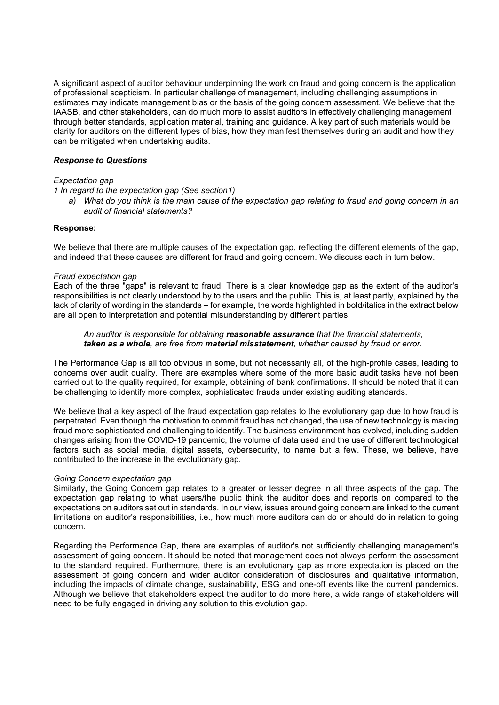A significant aspect of auditor behaviour underpinning the work on fraud and going concern is the application of professional scepticism. In particular challenge of management, including challenging assumptions in estimates may indicate management bias or the basis of the going concern assessment. We believe that the IAASB, and other stakeholders, can do much more to assist auditors in effectively challenging management through better standards, application material, training and guidance. A key part of such materials would be clarity for auditors on the different types of bias, how they manifest themselves during an audit and how they can be mitigated when undertaking audits.

## Response to Questions

#### Expectation gap

1 In regard to the expectation gap (See section1)

a) What do you think is the main cause of the expectation gap relating to fraud and going concern in an audit of financial statements?

## Response:

We believe that there are multiple causes of the expectation gap, reflecting the different elements of the gap, and indeed that these causes are different for fraud and going concern. We discuss each in turn below.

## Fraud expectation gap

Each of the three "gaps" is relevant to fraud. There is a clear knowledge gap as the extent of the auditor's responsibilities is not clearly understood by to the users and the public. This is, at least partly, explained by the lack of clarity of wording in the standards – for example, the words highlighted in bold/italics in the extract below are all open to interpretation and potential misunderstanding by different parties:

## An auditor is responsible for obtaining reasonable assurance that the financial statements. taken as a whole, are free from material misstatement, whether caused by fraud or error.

The Performance Gap is all too obvious in some, but not necessarily all, of the high-profile cases, leading to concerns over audit quality. There are examples where some of the more basic audit tasks have not been carried out to the quality required, for example, obtaining of bank confirmations. It should be noted that it can be challenging to identify more complex, sophisticated frauds under existing auditing standards.

We believe that a key aspect of the fraud expectation gap relates to the evolutionary gap due to how fraud is perpetrated. Even though the motivation to commit fraud has not changed, the use of new technology is making fraud more sophisticated and challenging to identify. The business environment has evolved, including sudden changes arising from the COVID-19 pandemic, the volume of data used and the use of different technological factors such as social media, digital assets, cybersecurity, to name but a few. These, we believe, have contributed to the increase in the evolutionary gap.

#### Going Concern expectation gap

Similarly, the Going Concern gap relates to a greater or lesser degree in all three aspects of the gap. The expectation gap relating to what users/the public think the auditor does and reports on compared to the expectations on auditors set out in standards. In our view, issues around going concern are linked to the current limitations on auditor's responsibilities, i.e., how much more auditors can do or should do in relation to going concern.

Regarding the Performance Gap, there are examples of auditor's not sufficiently challenging management's assessment of going concern. It should be noted that management does not always perform the assessment to the standard required. Furthermore, there is an evolutionary gap as more expectation is placed on the assessment of going concern and wider auditor consideration of disclosures and qualitative information, including the impacts of climate change, sustainability, ESG and one-off events like the current pandemics. Although we believe that stakeholders expect the auditor to do more here, a wide range of stakeholders will need to be fully engaged in driving any solution to this evolution gap.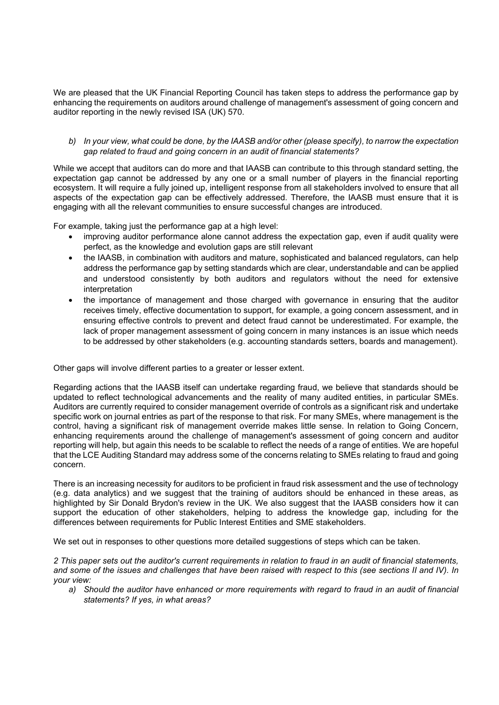We are pleased that the UK Financial Reporting Council has taken steps to address the performance gap by enhancing the requirements on auditors around challenge of management's assessment of going concern and auditor reporting in the newly revised ISA (UK) 570.

## b) In your view, what could be done, by the IAASB and/or other (please specify), to narrow the expectation gap related to fraud and going concern in an audit of financial statements?

While we accept that auditors can do more and that IAASB can contribute to this through standard setting, the expectation gap cannot be addressed by any one or a small number of players in the financial reporting ecosystem. It will require a fully joined up, intelligent response from all stakeholders involved to ensure that all aspects of the expectation gap can be effectively addressed. Therefore, the IAASB must ensure that it is engaging with all the relevant communities to ensure successful changes are introduced.

For example, taking just the performance gap at a high level:

- improving auditor performance alone cannot address the expectation gap, even if audit quality were perfect, as the knowledge and evolution gaps are still relevant
- the IAASB, in combination with auditors and mature, sophisticated and balanced regulators, can help address the performance gap by setting standards which are clear, understandable and can be applied and understood consistently by both auditors and regulators without the need for extensive interpretation
- the importance of management and those charged with governance in ensuring that the auditor receives timely, effective documentation to support, for example, a going concern assessment, and in ensuring effective controls to prevent and detect fraud cannot be underestimated. For example, the lack of proper management assessment of going concern in many instances is an issue which needs to be addressed by other stakeholders (e.g. accounting standards setters, boards and management).

Other gaps will involve different parties to a greater or lesser extent.

Regarding actions that the IAASB itself can undertake regarding fraud, we believe that standards should be updated to reflect technological advancements and the reality of many audited entities, in particular SMEs. Auditors are currently required to consider management override of controls as a significant risk and undertake specific work on journal entries as part of the response to that risk. For many SMEs, where management is the control, having a significant risk of management override makes little sense. In relation to Going Concern, enhancing requirements around the challenge of management's assessment of going concern and auditor reporting will help, but again this needs to be scalable to reflect the needs of a range of entities. We are hopeful that the LCE Auditing Standard may address some of the concerns relating to SMEs relating to fraud and going concern.

There is an increasing necessity for auditors to be proficient in fraud risk assessment and the use of technology (e.g. data analytics) and we suggest that the training of auditors should be enhanced in these areas, as highlighted by Sir Donald Brydon's review in the UK. We also suggest that the IAASB considers how it can support the education of other stakeholders, helping to address the knowledge gap, including for the differences between requirements for Public Interest Entities and SME stakeholders.

We set out in responses to other questions more detailed suggestions of steps which can be taken.

2 This paper sets out the auditor's current requirements in relation to fraud in an audit of financial statements, and some of the issues and challenges that have been raised with respect to this (see sections II and IV). In your view:

a) Should the auditor have enhanced or more requirements with regard to fraud in an audit of financial statements? If yes, in what areas?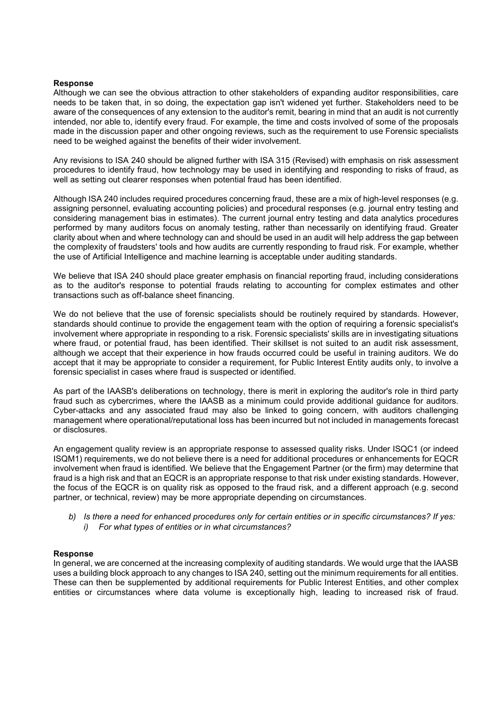#### Response

Although we can see the obvious attraction to other stakeholders of expanding auditor responsibilities, care needs to be taken that, in so doing, the expectation gap isn't widened yet further. Stakeholders need to be aware of the consequences of any extension to the auditor's remit, bearing in mind that an audit is not currently intended, nor able to, identify every fraud. For example, the time and costs involved of some of the proposals made in the discussion paper and other ongoing reviews, such as the requirement to use Forensic specialists need to be weighed against the benefits of their wider involvement.

Any revisions to ISA 240 should be aligned further with ISA 315 (Revised) with emphasis on risk assessment procedures to identify fraud, how technology may be used in identifying and responding to risks of fraud, as well as setting out clearer responses when potential fraud has been identified.

Although ISA 240 includes required procedures concerning fraud, these are a mix of high-level responses (e.g. assigning personnel, evaluating accounting policies) and procedural responses (e.g. journal entry testing and considering management bias in estimates). The current journal entry testing and data analytics procedures performed by many auditors focus on anomaly testing, rather than necessarily on identifying fraud. Greater clarity about when and where technology can and should be used in an audit will help address the gap between the complexity of fraudsters' tools and how audits are currently responding to fraud risk. For example, whether the use of Artificial Intelligence and machine learning is acceptable under auditing standards.

We believe that ISA 240 should place greater emphasis on financial reporting fraud, including considerations as to the auditor's response to potential frauds relating to accounting for complex estimates and other transactions such as off-balance sheet financing.

We do not believe that the use of forensic specialists should be routinely required by standards. However, standards should continue to provide the engagement team with the option of requiring a forensic specialist's involvement where appropriate in responding to a risk. Forensic specialists' skills are in investigating situations where fraud, or potential fraud, has been identified. Their skillset is not suited to an audit risk assessment, although we accept that their experience in how frauds occurred could be useful in training auditors. We do accept that it may be appropriate to consider a requirement, for Public Interest Entity audits only, to involve a forensic specialist in cases where fraud is suspected or identified.

As part of the IAASB's deliberations on technology, there is merit in exploring the auditor's role in third party fraud such as cybercrimes, where the IAASB as a minimum could provide additional guidance for auditors. Cyber-attacks and any associated fraud may also be linked to going concern, with auditors challenging management where operational/reputational loss has been incurred but not included in managements forecast or disclosures.

An engagement quality review is an appropriate response to assessed quality risks. Under ISQC1 (or indeed ISQM1) requirements, we do not believe there is a need for additional procedures or enhancements for EQCR involvement when fraud is identified. We believe that the Engagement Partner (or the firm) may determine that fraud is a high risk and that an EQCR is an appropriate response to that risk under existing standards. However, the focus of the EQCR is on quality risk as opposed to the fraud risk, and a different approach (e.g. second partner, or technical, review) may be more appropriate depending on circumstances.

b) Is there a need for enhanced procedures only for certain entities or in specific circumstances? If yes: i) For what types of entities or in what circumstances?

#### Response

In general, we are concerned at the increasing complexity of auditing standards. We would urge that the IAASB uses a building block approach to any changes to ISA 240, setting out the minimum requirements for all entities. These can then be supplemented by additional requirements for Public Interest Entities, and other complex entities or circumstances where data volume is exceptionally high, leading to increased risk of fraud.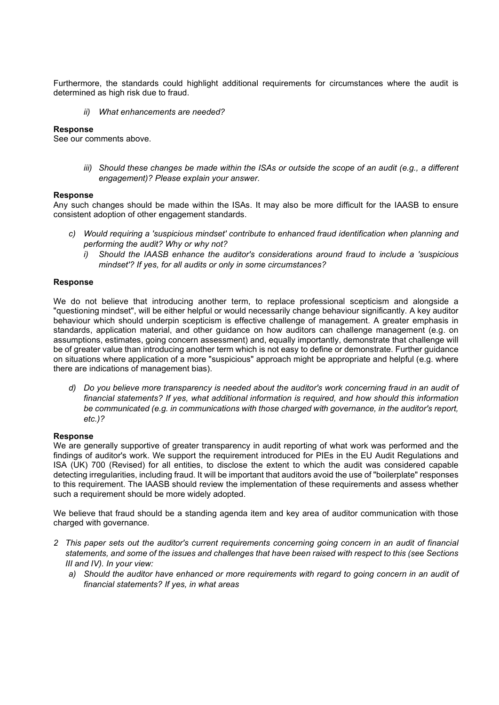Furthermore, the standards could highlight additional requirements for circumstances where the audit is determined as high risk due to fraud.

ii) What enhancements are needed?

# Response

See our comments above.

iii) Should these changes be made within the ISAs or outside the scope of an audit (e.g., a different engagement)? Please explain your answer.

## Response

Any such changes should be made within the ISAs. It may also be more difficult for the IAASB to ensure consistent adoption of other engagement standards.

- c) Would requiring a 'suspicious mindset' contribute to enhanced fraud identification when planning and performing the audit? Why or why not?
	- i) Should the IAASB enhance the auditor's considerations around fraud to include a 'suspicious mindset'? If yes, for all audits or only in some circumstances?

## Response

We do not believe that introducing another term, to replace professional scepticism and alongside a "questioning mindset", will be either helpful or would necessarily change behaviour significantly. A key auditor behaviour which should underpin scepticism is effective challenge of management. A greater emphasis in standards, application material, and other guidance on how auditors can challenge management (e.g. on assumptions, estimates, going concern assessment) and, equally importantly, demonstrate that challenge will be of greater value than introducing another term which is not easy to define or demonstrate. Further guidance on situations where application of a more "suspicious" approach might be appropriate and helpful (e.g. where there are indications of management bias).

d) Do you believe more transparency is needed about the auditor's work concerning fraud in an audit of financial statements? If yes, what additional information is required, and how should this information be communicated (e.g. in communications with those charged with governance, in the auditor's report, etc.)?

#### **Response**

We are generally supportive of greater transparency in audit reporting of what work was performed and the findings of auditor's work. We support the requirement introduced for PIEs in the EU Audit Regulations and ISA (UK) 700 (Revised) for all entities, to disclose the extent to which the audit was considered capable detecting irregularities, including fraud. It will be important that auditors avoid the use of "boilerplate" responses to this requirement. The IAASB should review the implementation of these requirements and assess whether such a requirement should be more widely adopted.

We believe that fraud should be a standing agenda item and key area of auditor communication with those charged with governance.

- 2 This paper sets out the auditor's current requirements concerning going concern in an audit of financial statements, and some of the issues and challenges that have been raised with respect to this (see Sections III and IV). In your view:
	- a) Should the auditor have enhanced or more requirements with regard to going concern in an audit of financial statements? If yes, in what areas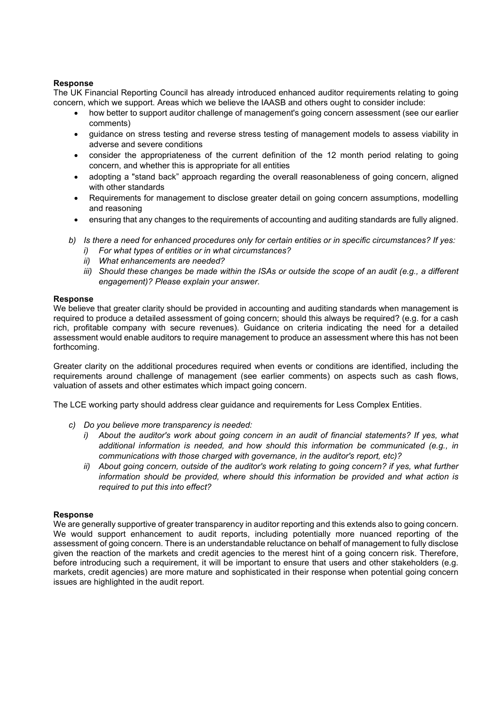# Response

The UK Financial Reporting Council has already introduced enhanced auditor requirements relating to going concern, which we support. Areas which we believe the IAASB and others ought to consider include:

- how better to support auditor challenge of management's going concern assessment (see our earlier comments)
- guidance on stress testing and reverse stress testing of management models to assess viability in adverse and severe conditions
- consider the appropriateness of the current definition of the 12 month period relating to going concern, and whether this is appropriate for all entities
- adopting a "stand back" approach regarding the overall reasonableness of going concern, aligned with other standards
- Requirements for management to disclose greater detail on going concern assumptions, modelling and reasoning
- ensuring that any changes to the requirements of accounting and auditing standards are fully aligned.
- b) Is there a need for enhanced procedures only for certain entities or in specific circumstances? If yes:
	- i) For what types of entities or in what circumstances?
	- ii) What enhancements are needed?
	- iii) Should these changes be made within the ISAs or outside the scope of an audit (e.g., a different engagement)? Please explain your answer.

## **Response**

We believe that greater clarity should be provided in accounting and auditing standards when management is required to produce a detailed assessment of going concern; should this always be required? (e.g. for a cash rich, profitable company with secure revenues). Guidance on criteria indicating the need for a detailed assessment would enable auditors to require management to produce an assessment where this has not been forthcoming.

Greater clarity on the additional procedures required when events or conditions are identified, including the requirements around challenge of management (see earlier comments) on aspects such as cash flows, valuation of assets and other estimates which impact going concern.

The LCE working party should address clear guidance and requirements for Less Complex Entities.

- c) Do you believe more transparency is needed:
	- i) About the auditor's work about going concern in an audit of financial statements? If yes, what additional information is needed, and how should this information be communicated (e.g., in communications with those charged with governance, in the auditor's report, etc)?
	- ii) About going concern, outside of the auditor's work relating to going concern? if yes, what further information should be provided, where should this information be provided and what action is required to put this into effect?

# **Response**

We are generally supportive of greater transparency in auditor reporting and this extends also to going concern. We would support enhancement to audit reports, including potentially more nuanced reporting of the assessment of going concern. There is an understandable reluctance on behalf of management to fully disclose given the reaction of the markets and credit agencies to the merest hint of a going concern risk. Therefore, before introducing such a requirement, it will be important to ensure that users and other stakeholders (e.g. markets, credit agencies) are more mature and sophisticated in their response when potential going concern issues are highlighted in the audit report.